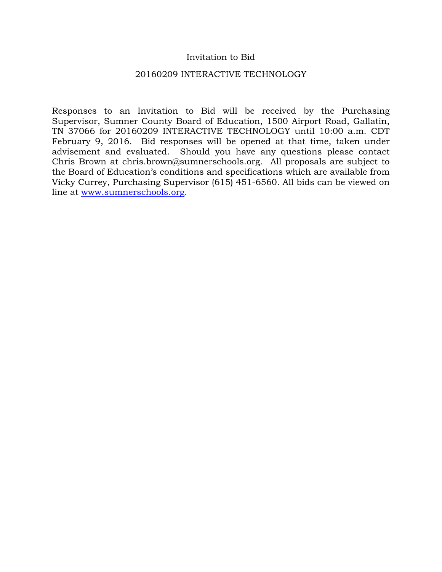### Invitation to Bid

### 20160209 INTERACTIVE TECHNOLOGY

Responses to an Invitation to Bid will be received by the Purchasing Supervisor, Sumner County Board of Education, 1500 Airport Road, Gallatin, TN 37066 for 20160209 INTERACTIVE TECHNOLOGY until 10:00 a.m. CDT February 9, 2016. Bid responses will be opened at that time, taken under advisement and evaluated. Should you have any questions please contact Chris Brown at chris.brown@sumnerschools.org. All proposals are subject to the Board of Education's conditions and specifications which are available from Vicky Currey, Purchasing Supervisor (615) 451-6560. All bids can be viewed on line at www.sumnerschools.org.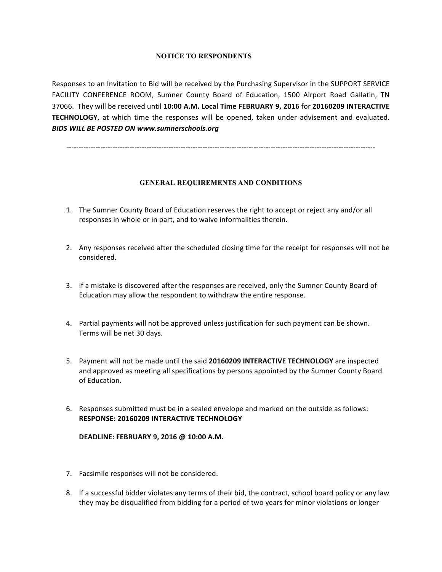#### **NOTICE TO RESPONDENTS**

Responses to an Invitation to Bid will be received by the Purchasing Supervisor in the SUPPORT SERVICE FACILITY CONFERENCE ROOM, Sumner County Board of Education, 1500 Airport Road Gallatin, TN 37066. They will be received until 10:00 A.M. Local Time FEBRUARY 9, 2016 for 20160209 INTERACTIVE **TECHNOLOGY**, at which time the responses will be opened, taken under advisement and evaluated. **BIDS WILL BE POSTED ON www.sumnerschools.org** 

-------------------------------------------------------------------------------------------------------------------------------

#### **GENERAL REQUIREMENTS AND CONDITIONS**

- 1. The Sumner County Board of Education reserves the right to accept or reject any and/or all responses in whole or in part, and to waive informalities therein.
- 2. Any responses received after the scheduled closing time for the receipt for responses will not be considered.
- 3. If a mistake is discovered after the responses are received, only the Sumner County Board of Education may allow the respondent to withdraw the entire response.
- 4. Partial payments will not be approved unless justification for such payment can be shown. Terms will be net 30 days.
- 5. Payment will not be made until the said 20160209 INTERACTIVE TECHNOLOGY are inspected and approved as meeting all specifications by persons appointed by the Sumner County Board of Education.
- 6. Responses submitted must be in a sealed envelope and marked on the outside as follows: **RESPONSE: 20160209 INTERACTIVE TECHNOLOGY**

#### **DEADLINE: FEBRUARY 9, 2016 @ 10:00 A.M.**

- 7. Facsimile responses will not be considered.
- 8. If a successful bidder violates any terms of their bid, the contract, school board policy or any law they may be disqualified from bidding for a period of two years for minor violations or longer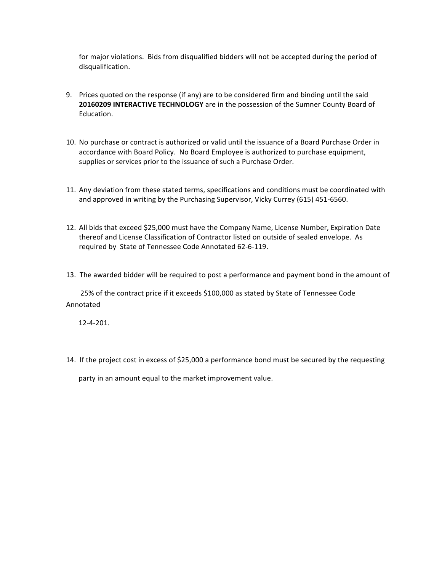for major violations. Bids from disqualified bidders will not be accepted during the period of disqualification.

- 9. Prices quoted on the response (if any) are to be considered firm and binding until the said **20160209 INTERACTIVE TECHNOLOGY** are in the possession of the Sumner County Board of Education.
- 10. No purchase or contract is authorized or valid until the issuance of a Board Purchase Order in accordance with Board Policy. No Board Employee is authorized to purchase equipment, supplies or services prior to the issuance of such a Purchase Order.
- 11. Any deviation from these stated terms, specifications and conditions must be coordinated with and approved in writing by the Purchasing Supervisor, Vicky Currey  $(615)$  451-6560.
- 12. All bids that exceed \$25,000 must have the Company Name, License Number, Expiration Date thereof and License Classification of Contractor listed on outside of sealed envelope. As required by State of Tennessee Code Annotated 62-6-119.
- 13. The awarded bidder will be required to post a performance and payment bond in the amount of

25% of the contract price if it exceeds \$100,000 as stated by State of Tennessee Code Annotated 

 12-4-201.

14. If the project cost in excess of \$25,000 a performance bond must be secured by the requesting

party in an amount equal to the market improvement value.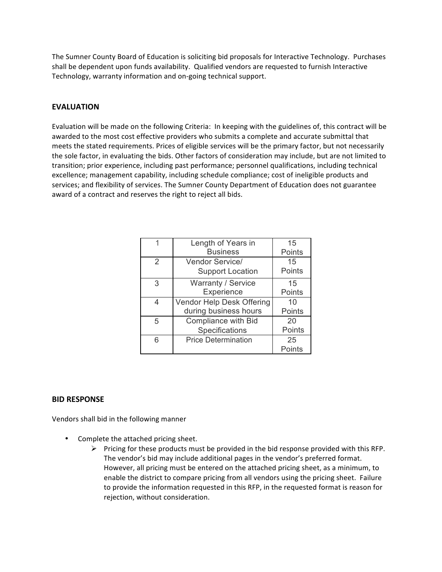The Sumner County Board of Education is soliciting bid proposals for Interactive Technology. Purchases shall be dependent upon funds availability. Qualified vendors are requested to furnish Interactive Technology, warranty information and on-going technical support.

### **EVALUATION**

Evaluation will be made on the following Criteria: In keeping with the guidelines of, this contract will be awarded to the most cost effective providers who submits a complete and accurate submittal that meets the stated requirements. Prices of eligible services will be the primary factor, but not necessarily the sole factor, in evaluating the bids. Other factors of consideration may include, but are not limited to transition; prior experience, including past performance; personnel qualifications, including technical excellence; management capability, including schedule compliance; cost of ineligible products and services; and flexibility of services. The Sumner County Department of Education does not guarantee award of a contract and reserves the right to reject all bids.

|    | Length of Years in         | 15     |
|----|----------------------------|--------|
|    | <b>Business</b>            | Points |
| 2  | <b>Vendor Service/</b>     | 15     |
|    | <b>Support Location</b>    | Points |
| 3  | Warranty / Service         | 15     |
|    | Experience                 | Points |
| 4  | Vendor Help Desk Offering  | 10     |
|    | during business hours      | Points |
| 5  | <b>Compliance with Bid</b> | 20     |
|    | Specifications             | Points |
| ิค | <b>Price Determination</b> | 25     |
|    |                            | Points |

### **BID RESPONSE**

Vendors shall bid in the following manner

- Complete the attached pricing sheet.
	- $\triangleright$  Pricing for these products must be provided in the bid response provided with this RFP. The vendor's bid may include additional pages in the vendor's preferred format. However, all pricing must be entered on the attached pricing sheet, as a minimum, to enable the district to compare pricing from all vendors using the pricing sheet. Failure to provide the information requested in this RFP, in the requested format is reason for rejection, without consideration.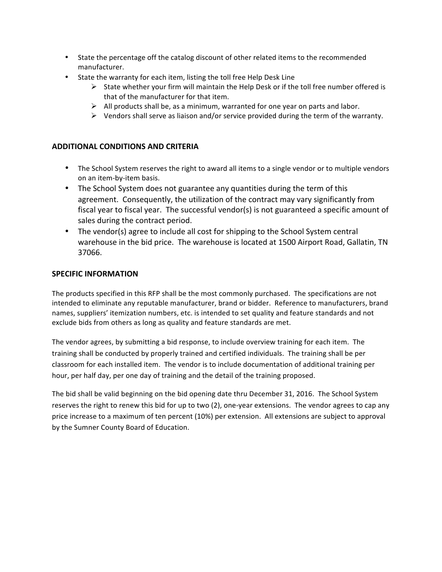- State the percentage off the catalog discount of other related items to the recommended manufacturer.
- State the warranty for each item, listing the toll free Help Desk Line
	- $\triangleright$  State whether your firm will maintain the Help Desk or if the toll free number offered is that of the manufacturer for that item.
	- $\triangleright$  All products shall be, as a minimum, warranted for one year on parts and labor.
	- $\triangleright$  Vendors shall serve as liaison and/or service provided during the term of the warranty.

### **ADDITIONAL CONDITIONS AND CRITERIA**

- The School System reserves the right to award all items to a single vendor or to multiple vendors on an item-by-item basis.
- The School System does not guarantee any quantities during the term of this agreement. Consequently, the utilization of the contract may vary significantly from fiscal year to fiscal year. The successful vendor(s) is not guaranteed a specific amount of sales during the contract period.
- The vendor(s) agree to include all cost for shipping to the School System central warehouse in the bid price. The warehouse is located at 1500 Airport Road, Gallatin, TN 37066.

#### **SPECIFIC INFORMATION**

The products specified in this RFP shall be the most commonly purchased. The specifications are not intended to eliminate any reputable manufacturer, brand or bidder. Reference to manufacturers, brand names, suppliers' itemization numbers, etc. is intended to set quality and feature standards and not exclude bids from others as long as quality and feature standards are met.

The vendor agrees, by submitting a bid response, to include overview training for each item. The training shall be conducted by properly trained and certified individuals. The training shall be per classroom for each installed item. The vendor is to include documentation of additional training per hour, per half day, per one day of training and the detail of the training proposed.

The bid shall be valid beginning on the bid opening date thru December 31, 2016. The School System reserves the right to renew this bid for up to two (2), one-year extensions. The vendor agrees to cap any price increase to a maximum of ten percent (10%) per extension. All extensions are subject to approval by the Sumner County Board of Education.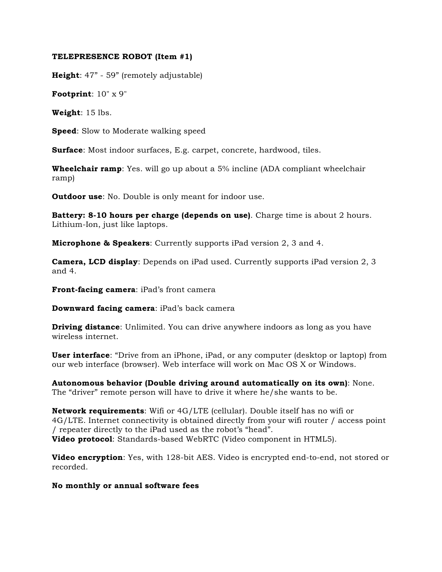#### **TELEPRESENCE ROBOT (Item #1)**

**Height**: 47" - 59" (remotely adjustable)

**Footprint**: 10" x 9"

**Weight**: 15 lbs.

**Speed**: Slow to Moderate walking speed

**Surface**: Most indoor surfaces, E.g. carpet, concrete, hardwood, tiles.

**Wheelchair ramp**: Yes. will go up about a 5% incline (ADA compliant wheelchair ramp)

**Outdoor use:** No. Double is only meant for indoor use.

**Battery: 8-10 hours per charge (depends on use)**. Charge time is about 2 hours. Lithium-Ion, just like laptops.

**Microphone & Speakers**: Currently supports iPad version 2, 3 and 4.

**Camera, LCD display**: Depends on iPad used. Currently supports iPad version 2, 3 and 4.

**Front-facing camera**: iPad's front camera

**Downward facing camera**: iPad's back camera

**Driving distance**: Unlimited. You can drive anywhere indoors as long as you have wireless internet.

**User interface**: "Drive from an iPhone, iPad, or any computer (desktop or laptop) from our web interface (browser). Web interface will work on Mac OS X or Windows.

**Autonomous behavior (Double driving around automatically on its own)**: None. The "driver" remote person will have to drive it where he/she wants to be.

**Network requirements**: Wifi or 4G/LTE (cellular). Double itself has no wifi or 4G/LTE. Internet connectivity is obtained directly from your wifi router / access point / repeater directly to the iPad used as the robot's "head". **Video protocol**: Standards-based WebRTC (Video component in HTML5).

**Video encryption**: Yes, with 128-bit AES. Video is encrypted end-to-end, not stored or recorded.

**No monthly or annual software fees**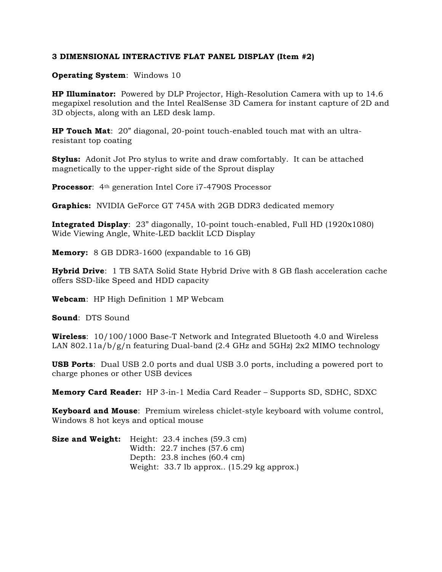#### **3 DIMENSIONAL INTERACTIVE FLAT PANEL DISPLAY (Item #2)**

### **Operating System**: Windows 10

**HP Illuminator:** Powered by DLP Projector, High-Resolution Camera with up to 14.6 megapixel resolution and the Intel RealSense 3D Camera for instant capture of 2D and 3D objects, along with an LED desk lamp.

**HP Touch Mat**: 20" diagonal, 20-point touch-enabled touch mat with an ultraresistant top coating

**Stylus:** Adonit Jot Pro stylus to write and draw comfortably. It can be attached magnetically to the upper-right side of the Sprout display

**Processor**: 4<sup>th</sup> generation Intel Core i7-4790S Processor

**Graphics:** NVIDIA GeForce GT 745A with 2GB DDR3 dedicated memory

**Integrated Display**: 23" diagonally, 10-point touch-enabled, Full HD (1920x1080) Wide Viewing Angle, White-LED backlit LCD Display

**Memory:** 8 GB DDR3-1600 (expandable to 16 GB)

**Hybrid Drive**: 1 TB SATA Solid State Hybrid Drive with 8 GB flash acceleration cache offers SSD-like Speed and HDD capacity

**Webcam**: HP High Definition 1 MP Webcam

**Sound**: DTS Sound

**Wireless**: 10/100/1000 Base-T Network and Integrated Bluetooth 4.0 and Wireless LAN 802.11a/b/g/n featuring Dual-band (2.4 GHz and 5GHz) 2x2 MIMO technology

**USB Ports**: Dual USB 2.0 ports and dual USB 3.0 ports, including a powered port to charge phones or other USB devices

**Memory Card Reader:** HP 3-in-1 Media Card Reader – Supports SD, SDHC, SDXC

**Keyboard and Mouse**: Premium wireless chiclet-style keyboard with volume control, Windows 8 hot keys and optical mouse

| <b>Size and Weight:</b> Height: 23.4 inches (59.3 cm) |
|-------------------------------------------------------|
| Width: $22.7$ inches $(57.6 \text{ cm})$              |
| Depth: $23.8$ inches $(60.4 \text{ cm})$              |
| Weight: $33.7$ lb approx $(15.29 \text{ kg approx.})$ |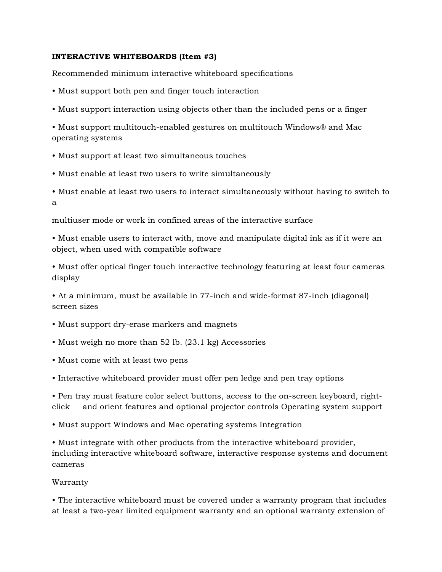### **INTERACTIVE WHITEBOARDS (Item #3)**

Recommended minimum interactive whiteboard specifications

- Must support both pen and finger touch interaction
- Must support interaction using objects other than the included pens or a finger

• Must support multitouch-enabled gestures on multitouch Windows® and Mac operating systems

- Must support at least two simultaneous touches
- Must enable at least two users to write simultaneously
- Must enable at least two users to interact simultaneously without having to switch to a

multiuser mode or work in confined areas of the interactive surface

• Must enable users to interact with, move and manipulate digital ink as if it were an object, when used with compatible software

• Must offer optical finger touch interactive technology featuring at least four cameras display

• At a minimum, must be available in 77-inch and wide-format 87-inch (diagonal) screen sizes

- Must support dry-erase markers and magnets
- Must weigh no more than 52 lb. (23.1 kg) Accessories
- Must come with at least two pens
- Interactive whiteboard provider must offer pen ledge and pen tray options

• Pen tray must feature color select buttons, access to the on-screen keyboard, rightclick and orient features and optional projector controls Operating system support

• Must support Windows and Mac operating systems Integration

• Must integrate with other products from the interactive whiteboard provider, including interactive whiteboard software, interactive response systems and document cameras

#### Warranty

• The interactive whiteboard must be covered under a warranty program that includes at least a two-year limited equipment warranty and an optional warranty extension of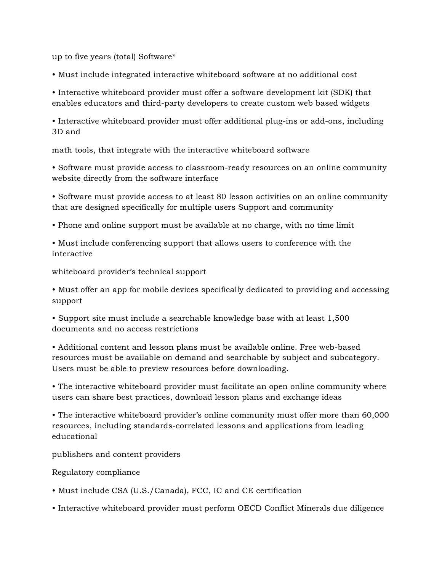up to five years (total) Software\*

• Must include integrated interactive whiteboard software at no additional cost

• Interactive whiteboard provider must offer a software development kit (SDK) that enables educators and third-party developers to create custom web based widgets

• Interactive whiteboard provider must offer additional plug-ins or add-ons, including 3D and

math tools, that integrate with the interactive whiteboard software

• Software must provide access to classroom-ready resources on an online community website directly from the software interface

• Software must provide access to at least 80 lesson activities on an online community that are designed specifically for multiple users Support and community

• Phone and online support must be available at no charge, with no time limit

• Must include conferencing support that allows users to conference with the interactive

whiteboard provider's technical support

• Must offer an app for mobile devices specifically dedicated to providing and accessing support

• Support site must include a searchable knowledge base with at least 1,500 documents and no access restrictions

• Additional content and lesson plans must be available online. Free web-based resources must be available on demand and searchable by subject and subcategory. Users must be able to preview resources before downloading.

• The interactive whiteboard provider must facilitate an open online community where users can share best practices, download lesson plans and exchange ideas

• The interactive whiteboard provider's online community must offer more than 60,000 resources, including standards-correlated lessons and applications from leading educational

publishers and content providers

Regulatory compliance

• Must include CSA (U.S./Canada), FCC, IC and CE certification

• Interactive whiteboard provider must perform OECD Conflict Minerals due diligence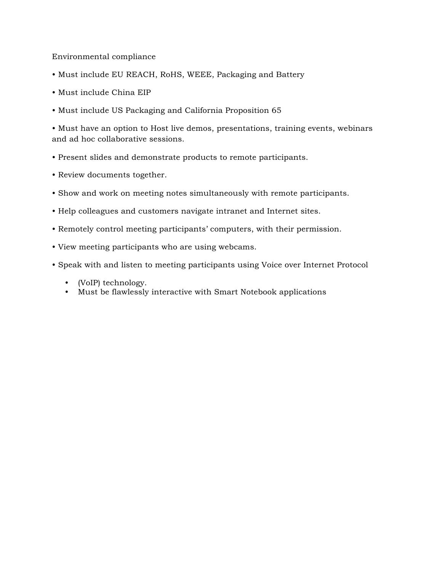### Environmental compliance

- Must include EU REACH, RoHS, WEEE, Packaging and Battery
- Must include China EIP
- Must include US Packaging and California Proposition 65

• Must have an option to Host live demos, presentations, training events, webinars and ad hoc collaborative sessions.

- Present slides and demonstrate products to remote participants.
- Review documents together.
- Show and work on meeting notes simultaneously with remote participants.
- Help colleagues and customers navigate intranet and Internet sites.
- Remotely control meeting participants' computers, with their permission.
- View meeting participants who are using webcams.
- Speak with and listen to meeting participants using Voice over Internet Protocol
	- (VoIP) technology.
	- Must be flawlessly interactive with Smart Notebook applications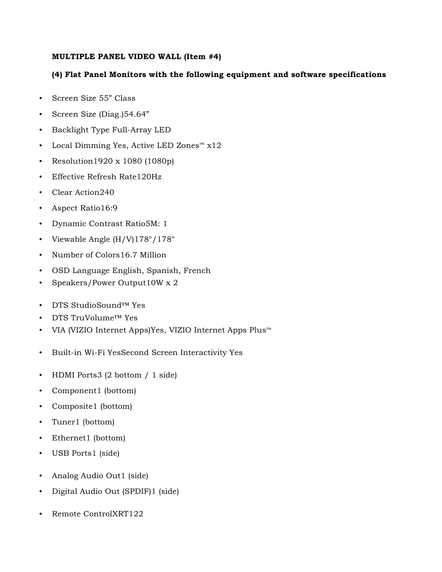### **MULTIPLE PANEL VIDEO WALL (Item #4)**

### **(4) Flat Panel Monitors with the following equipment and software specifications**

- Screen Size 55" Class
- Screen Size (Diag.)54.64"
- Backlight Type Full-Array LED
- Local Dimming Yes, Active LED Zones™ x12
- Resolution1920 x 1080 (1080p)
- Effective Refresh Rate120Hz
- Clear Action240
- Aspect Ratio16:9
- Dynamic Contrast Ratio5M: 1
- Viewable Angle (H/V)178°/178°
- Number of Colors16.7 Million
- OSD Language English, Spanish, French
- Speakers/Power Output10W x 2
- DTS StudioSound™ Yes
- DTS TruVolume™ Yes
- VIA (VIZIO Internet Apps)Yes, VIZIO Internet Apps Plus™
- Built-in Wi-Fi YesSecond Screen Interactivity Yes
- HDMI Ports3 (2 bottom / 1 side)
- Component1 (bottom)
- Composite1 (bottom)
- Tuner1 (bottom)
- Ethernet1 (bottom)
- USB Ports1 (side)
- Analog Audio Out1 (side)
- Digital Audio Out (SPDIF)1 (side)
- Remote ControlXRT122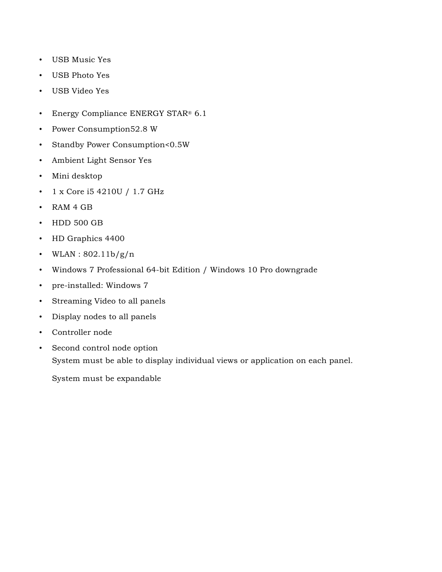- USB Music Yes
- USB Photo Yes
- USB Video Yes
- Energy Compliance ENERGY STAR® 6.1
- Power Consumption52.8 W
- Standby Power Consumption<0.5W
- Ambient Light Sensor Yes
- Mini desktop
- 1 x Core i5 4210U / 1.7 GHz
- RAM 4 GB
- HDD 500 GB
- HD Graphics 4400
- WLAN:  $802.11b/g/n$
- Windows 7 Professional 64-bit Edition / Windows 10 Pro downgrade
- pre-installed: Windows 7
- Streaming Video to all panels
- Display nodes to all panels
- Controller node
- Second control node option System must be able to display individual views or application on each panel.

System must be expandable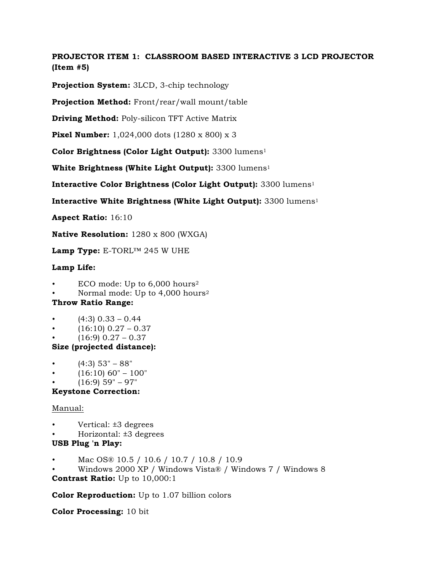**PROJECTOR ITEM 1: CLASSROOM BASED INTERACTIVE 3 LCD PROJECTOR (Item #5)**

**Projection System:** 3LCD, 3-chip technology

**Projection Method:** Front/rear/wall mount/table

**Driving Method:** Poly-silicon TFT Active Matrix

**Pixel Number:** 1,024,000 dots (1280 x 800) x 3

**Color Brightness (Color Light Output):** 3300 lumens1

**White Brightness (White Light Output):** 3300 lumens1

**Interactive Color Brightness (Color Light Output):** 3300 lumens1

**Interactive White Brightness (White Light Output):** 3300 lumens1

**Aspect Ratio:** 16:10

**Native Resolution:** 1280 x 800 (WXGA)

**Lamp Type:** E-TORL™ 245 W UHE

# **Lamp Life:**

- ECO mode: Up to  $6,000$  hours<sup>2</sup>
- Normal mode: Up to 4,000 hours<sup>2</sup>

# **Throw Ratio Range:**

- $(4:3)$  0.33 0.44
- $(16:10)$  0.27 0.37
- $(16:9)$  0.27 0.37

# **Size (projected distance):**

- $(4:3)$  53" 88"
- $(16:10)$  60" 100"
- $(16:9)$  59" 97"

# **Keystone Correction:**

# Manual:

- Vertical: ±3 degrees
- Horizontal: ±3 degrees

# **USB Plug 'n Play:**

- Mac OS® 10.5 / 10.6 / 10.7 / 10.8 / 10.9
- Windows 2000 XP / Windows Vista® / Windows 7 / Windows 8

**Contrast Ratio:** Up to 10,000:1

**Color Reproduction:** Up to 1.07 billion colors

**Color Processing:** 10 bit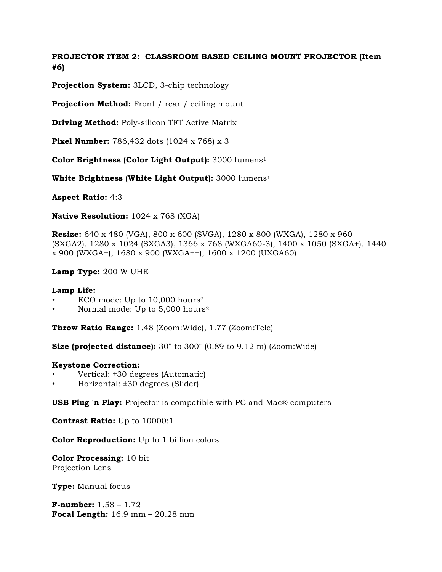# **PROJECTOR ITEM 2: CLASSROOM BASED CEILING MOUNT PROJECTOR (Item #6)**

**Projection System:** 3LCD, 3-chip technology

**Projection Method:** Front / rear / ceiling mount

**Driving Method:** Poly-silicon TFT Active Matrix

**Pixel Number:** 786,432 dots (1024 x 768) x 3

**Color Brightness (Color Light Output):** 3000 lumens1

**White Brightness (White Light Output):** 3000 lumens1

**Aspect Ratio:** 4:3

**Native Resolution:** 1024 x 768 (XGA)

**Resize:** 640 x 480 (VGA), 800 x 600 (SVGA), 1280 x 800 (WXGA), 1280 x 960 (SXGA2), 1280 x 1024 (SXGA3), 1366 x 768 (WXGA60-3), 1400 x 1050 (SXGA+), 1440 x 900 (WXGA+), 1680 x 900 (WXGA++), 1600 x 1200 (UXGA60)

**Lamp Type:** 200 W UHE

#### **Lamp Life:**

- ECO mode: Up to  $10,000$  hours<sup>2</sup>
- Normal mode: Up to 5,000 hours2

**Throw Ratio Range:** 1.48 (Zoom:Wide), 1.77 (Zoom:Tele)

**Size (projected distance):** 30" to 300" (0.89 to 9.12 m) (Zoom:Wide)

#### **Keystone Correction:**

- Vertical: ±30 degrees (Automatic)
- Horizontal: ±30 degrees (Slider)

**USB Plug 'n Play:** Projector is compatible with PC and Mac® computers

**Contrast Ratio:** Up to 10000:1

**Color Reproduction:** Up to 1 billion colors

**Color Processing:** 10 bit Projection Lens

**Type:** Manual focus

**F-number:** 1.58 – 1.72 **Focal Length:** 16.9 mm – 20.28 mm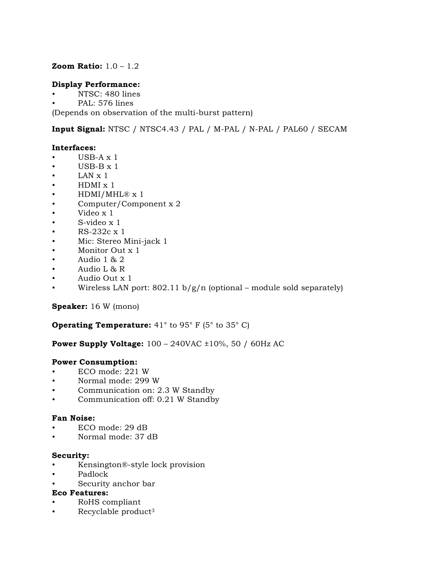### **Zoom Ratio:** 1.0 – 1.2

#### **Display Performance:**

- NTSC: 480 lines
- PAL: 576 lines

(Depends on observation of the multi-burst pattern)

**Input Signal:** NTSC / NTSC4.43 / PAL / M-PAL / N-PAL / PAL60 / SECAM

#### **Interfaces:**

- $\cdot$  USB-A x 1
- $\cdot$  USB-B  $x$  1
- $\bullet$  LAN  $x$  1
- HDMI x 1
- HDMI/MHL® x 1
- Computer/Component x 2
- Video x 1
- S-video x 1
- RS-232c x 1
- Mic: Stereo Mini-jack 1
- Monitor Out x 1
- Audio 1 & 2
- Audio L & R
- Audio Out x 1
- Wireless LAN port:  $802.11 b/g/n$  (optional module sold separately)

### **Speaker:** 16 W (mono)

### **Operating Temperature:** 41<sup>°</sup> to 95<sup>°</sup> F (5<sup>°</sup> to 35<sup>°</sup> C)

#### **Power Supply Voltage:** 100 – 240VAC ±10%, 50 / 60Hz AC

#### **Power Consumption:**

- ECO mode: 221 W
- Normal mode: 299 W
- Communication on: 2.3 W Standby
- Communication off: 0.21 W Standby

#### **Fan Noise:**

- ECO mode: 29 dB
- Normal mode: 37 dB

#### **Security:**

- Kensington®-style lock provision
- Padlock
- Security anchor bar

### **Eco Features:**

- RoHS compliant
- Recyclable product3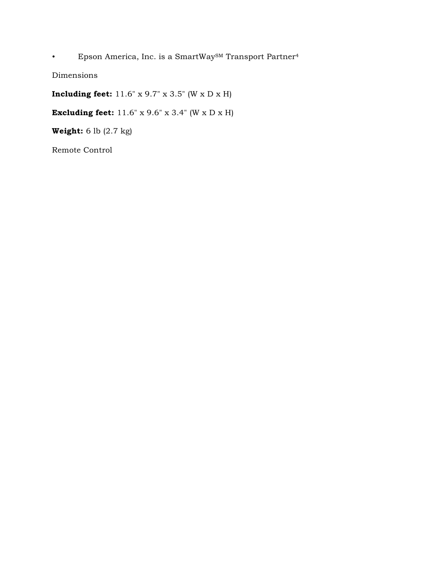• Epson America, Inc. is a SmartWaySM Transport Partner4

Dimensions

**Including feet:** 11.6" x 9.7" x 3.5" (W x D x H)

**Excluding feet:** 11.6" x 9.6" x 3.4" (W x D x H)

**Weight:** 6 lb (2.7 kg)

Remote Control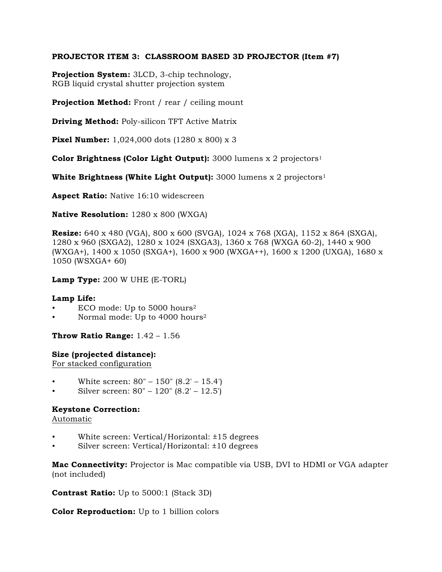### **PROJECTOR ITEM 3: CLASSROOM BASED 3D PROJECTOR (Item #7)**

**Projection System:** 3LCD, 3-chip technology, RGB liquid crystal shutter projection system

**Projection Method:** Front / rear / ceiling mount

**Driving Method:** Poly-silicon TFT Active Matrix

**Pixel Number:** 1,024,000 dots (1280 x 800) x 3

**Color Brightness (Color Light Output):** 3000 lumens x 2 projectors1

**White Brightness (White Light Output):** 3000 lumens x 2 projectors<sup>1</sup>

**Aspect Ratio:** Native 16:10 widescreen

**Native Resolution:** 1280 x 800 (WXGA)

**Resize:** 640 x 480 (VGA), 800 x 600 (SVGA), 1024 x 768 (XGA), 1152 x 864 (SXGA), 1280 x 960 (SXGA2), 1280 x 1024 (SXGA3), 1360 x 768 (WXGA 60-2), 1440 x 900 (WXGA+), 1400 x 1050 (SXGA+), 1600 x 900 (WXGA++), 1600 x 1200 (UXGA), 1680 x 1050 (WSXGA+ 60)

**Lamp Type:** 200 W UHE (E-TORL)

#### **Lamp Life:**

- ECO mode: Up to 5000 hours<sup>2</sup>
- Normal mode: Up to 4000 hours2

**Throw Ratio Range:** 1.42 – 1.56

#### **Size (projected distance):**

For stacked configuration

- White screen: 80" 150" (8.2' 15.4')
- Silver screen: 80" 120" (8.2' 12.5')

### **Keystone Correction:**

Automatic

- White screen: Vertical/Horizontal: ±15 degrees
- Silver screen: Vertical/Horizontal: ±10 degrees

**Mac Connectivity:** Projector is Mac compatible via USB, DVI to HDMI or VGA adapter (not included)

**Contrast Ratio:** Up to 5000:1 (Stack 3D)

**Color Reproduction:** Up to 1 billion colors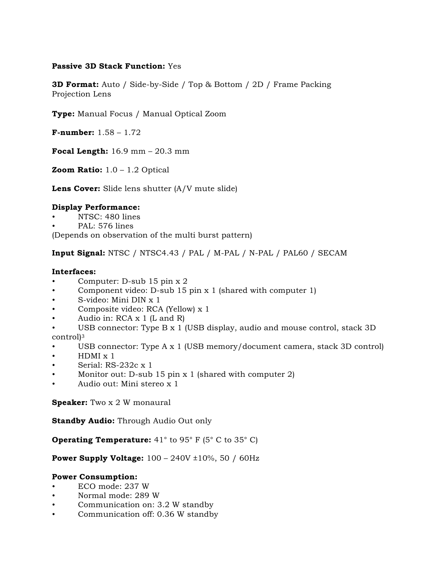### **Passive 3D Stack Function:** Yes

**3D Format:** Auto / Side-by-Side / Top & Bottom / 2D / Frame Packing Projection Lens

**Type:** Manual Focus / Manual Optical Zoom

**F-number:** 1.58 – 1.72

**Focal Length:** 16.9 mm – 20.3 mm

**Zoom Ratio:** 1.0 – 1.2 Optical

**Lens Cover:** Slide lens shutter (A/V mute slide)

### **Display Performance:**

- NTSC: 480 lines
- PAL: 576 lines

(Depends on observation of the multi burst pattern)

**Input Signal:** NTSC / NTSC4.43 / PAL / M-PAL / N-PAL / PAL60 / SECAM

#### **Interfaces:**

- Computer: D-sub 15 pin x 2
- Component video: D-sub 15 pin x 1 (shared with computer 1)
- S-video: Mini DIN x 1
- Composite video: RCA (Yellow) x 1
- Audio in: RCA x 1 (L and R)
- USB connector: Type B x 1 (USB display, audio and mouse control, stack 3D control)3
- USB connector: Type A x 1 (USB memory/document camera, stack 3D control)
- HDMI x 1
- Serial: RS-232c x 1
- Monitor out: D-sub 15 pin  $x$  1 (shared with computer 2)
- Audio out: Mini stereo x 1

**Speaker:** Two x 2 W monaural

**Standby Audio:** Through Audio Out only

**Operating Temperature:** 41° to 95° F (5° C to 35° C)

**Power Supply Voltage:**  $100 - 240V \pm 10\%$ , 50 / 60Hz

#### **Power Consumption:**

- ECO mode: 237 W
- Normal mode: 289 W
- Communication on: 3.2 W standby
- Communication off: 0.36 W standby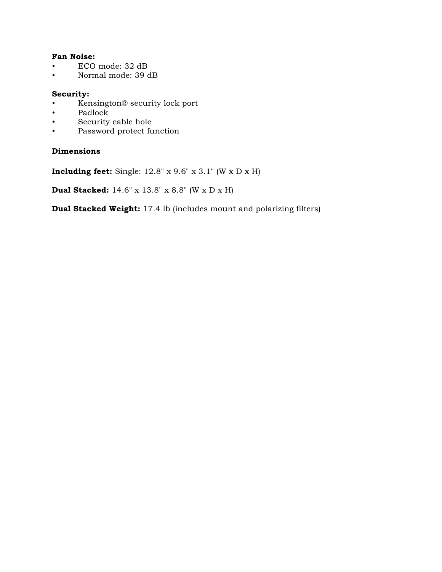## **Fan Noise:**

- ECO mode: 32 dB
- Normal mode: 39 dB

#### **Security:**

- Kensington® security lock port
- Padlock
- Security cable hole<br>• Password protect fu
- Password protect function

### **Dimensions**

**Including feet:** Single: 12.8" x 9.6" x 3.1" (W x D x H)

**Dual Stacked:** 14.6" x 13.8" x 8.8" (W x D x H)

**Dual Stacked Weight:** 17.4 lb (includes mount and polarizing filters)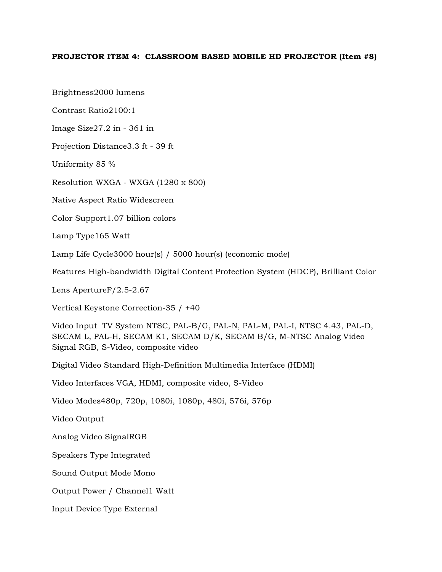#### **PROJECTOR ITEM 4: CLASSROOM BASED MOBILE HD PROJECTOR (Item #8)**

Brightness2000 lumens

Contrast Ratio2100:1

Image Size27.2 in - 361 in

Projection Distance3.3 ft - 39 ft

Uniformity 85 %

Resolution WXGA - WXGA (1280 x 800)

Native Aspect Ratio Widescreen

Color Support1.07 billion colors

Lamp Type165 Watt

Lamp Life Cycle3000 hour(s) / 5000 hour(s) (economic mode)

Features High-bandwidth Digital Content Protection System (HDCP), Brilliant Color

Lens ApertureF/2.5-2.67

Vertical Keystone Correction-35 / +40

Video Input TV System NTSC, PAL-B/G, PAL-N, PAL-M, PAL-I, NTSC 4.43, PAL-D, SECAM L, PAL-H, SECAM K1, SECAM D/K, SECAM B/G, M-NTSC Analog Video Signal RGB, S-Video, composite video

Digital Video Standard High-Definition Multimedia Interface (HDMI)

Video Interfaces VGA, HDMI, composite video, S-Video

Video Modes480p, 720p, 1080i, 1080p, 480i, 576i, 576p

Video Output

Analog Video SignalRGB

Speakers Type Integrated

Sound Output Mode Mono

Output Power / Channel1 Watt

Input Device Type External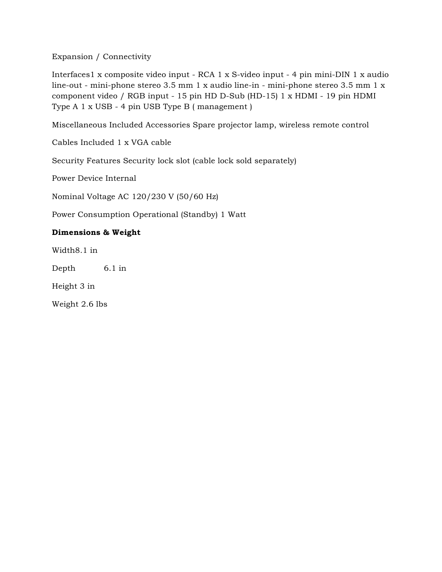Expansion / Connectivity

Interfaces1 x composite video input - RCA 1 x S-video input - 4 pin mini-DIN 1 x audio line-out - mini-phone stereo 3.5 mm 1 x audio line-in - mini-phone stereo 3.5 mm 1 x component video / RGB input - 15 pin HD D-Sub (HD-15) 1 x HDMI - 19 pin HDMI Type A 1 x USB - 4 pin USB Type B ( management )

Miscellaneous Included Accessories Spare projector lamp, wireless remote control

Cables Included 1 x VGA cable

Security Features Security lock slot (cable lock sold separately)

Power Device Internal

Nominal Voltage AC 120/230 V (50/60 Hz)

Power Consumption Operational (Standby) 1 Watt

## **Dimensions & Weight**

Width8.1 in

Depth 6.1 in

Height 3 in

Weight 2.6 lbs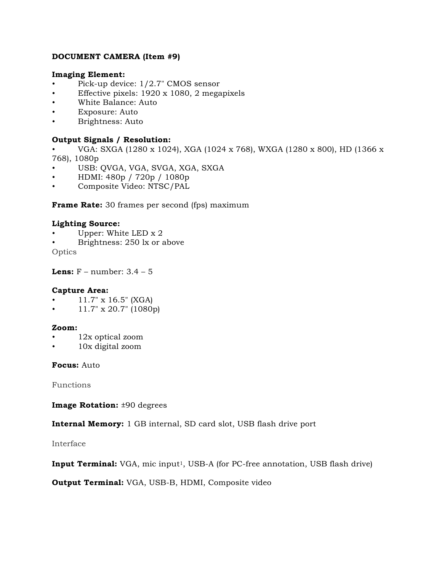### **DOCUMENT CAMERA (Item #9)**

#### **Imaging Element:**

- Pick-up device: 1/2.7" CMOS sensor
- Effective pixels: 1920 x 1080, 2 megapixels
- White Balance: Auto
- Exposure: Auto
- Brightness: Auto

### **Output Signals / Resolution:**

- VGA: SXGA (1280 x 1024), XGA (1024 x 768), WXGA (1280 x 800), HD (1366 x 768), 1080p
- USB: QVGA, VGA, SVGA, XGA, SXGA
- HDMI: 480p / 720p / 1080p
- Composite Video: NTSC/PAL

**Frame Rate:** 30 frames per second (fps) maximum

#### **Lighting Source:**

- Upper: White LED x 2
- Brightness: 250 lx or above

**Optics** 

**Lens:**  $F$  – number:  $3.4 - 5$ 

#### **Capture Area:**

- 11.7" x 16.5" (XGA)
- 11.7" x 20.7" (1080p)

#### **Zoom:**

- 12x optical zoom
- 10x digital zoom

### **Focus:** Auto

Functions

**Image Rotation:** ±90 degrees

**Internal Memory:** 1 GB internal, SD card slot, USB flash drive port

Interface

**Input Terminal:** VGA, mic input<sup>1</sup>, USB-A (for PC-free annotation, USB flash drive)

**Output Terminal:** VGA, USB-B, HDMI, Composite video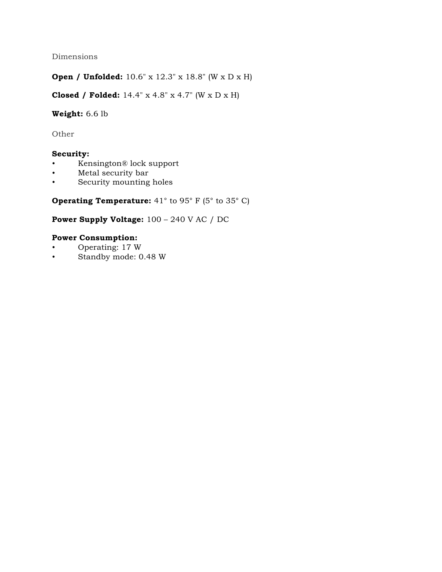Dimensions

**Open / Unfolded:** 10.6" x 12.3" x 18.8" (W x D x H)

**Closed / Folded:** 14.4" x 4.8" x 4.7" (W x D x H)

# **Weight:** 6.6 lb

Other

### **Security:**

- Kensington® lock support
- Metal security bar
- Security mounting holes

**Operating Temperature:** 41<sup>°</sup> to 95<sup>°</sup> F (5<sup>°</sup> to 35<sup>°</sup> C)

# **Power Supply Voltage:** 100 – 240 V AC / DC

### **Power Consumption:**

- Operating: 17 W
- Standby mode: 0.48 W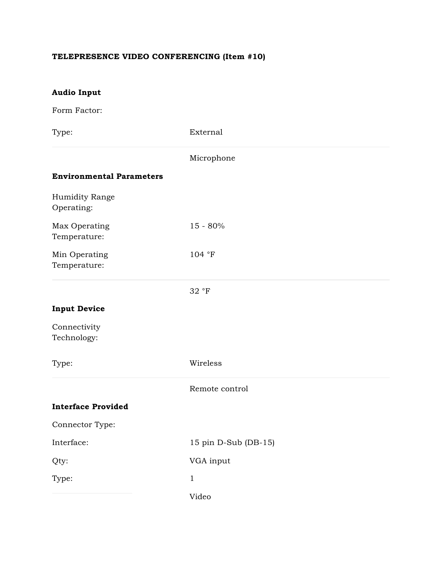# **TELEPRESENCE VIDEO CONFERENCING (Item #10)**

| <b>Audio Input</b>              |                      |
|---------------------------------|----------------------|
| Form Factor:                    |                      |
| Type:                           | External             |
|                                 | Microphone           |
| <b>Environmental Parameters</b> |                      |
| Humidity Range<br>Operating:    |                      |
| Max Operating<br>Temperature:   | 15 - 80%             |
| Min Operating<br>Temperature:   | 104 °F               |
|                                 | 32 °F                |
| <b>Input Device</b>             |                      |
| Connectivity<br>Technology:     |                      |
| Type:                           | Wireless             |
|                                 | Remote control       |
| <b>Interface Provided</b>       |                      |
| Connector Type:                 |                      |
| Interface:                      | 15 pin D-Sub (DB-15) |
| Qty:                            | VGA input            |
| Type:                           | $\mathbf{1}$         |
|                                 | Video                |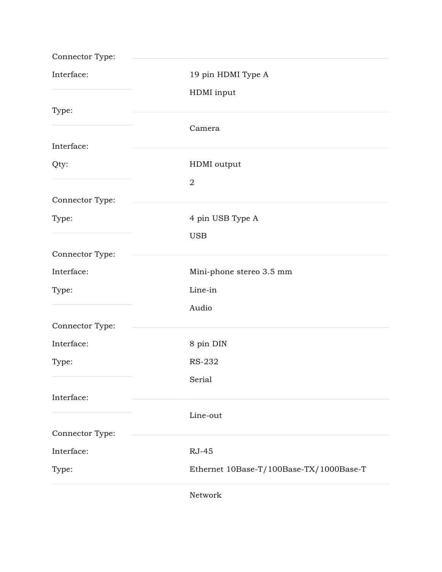| Connector Type: |                                         |
|-----------------|-----------------------------------------|
| Interface:      | 19 pin HDMI Type A                      |
|                 | HDMI input                              |
| Type:           |                                         |
|                 | Camera                                  |
| Interface:      |                                         |
| Qty:            | HDMI output                             |
|                 | $\sqrt{2}$                              |
| Connector Type: |                                         |
| Type:           | 4 pin USB Type A                        |
|                 | <b>USB</b>                              |
| Connector Type: |                                         |
| Interface:      | Mini-phone stereo 3.5 mm                |
| Type:           | Line-in                                 |
|                 | Audio                                   |
| Connector Type: |                                         |
| Interface:      | 8 pin DIN                               |
| Type:           | RS-232                                  |
|                 | Serial                                  |
| Interface:      |                                         |
|                 | Line-out                                |
| Connector Type: |                                         |
| Interface:      | <b>RJ-45</b>                            |
| Type:           | Ethernet 10Base-T/100Base-TX/1000Base-T |
|                 | Network                                 |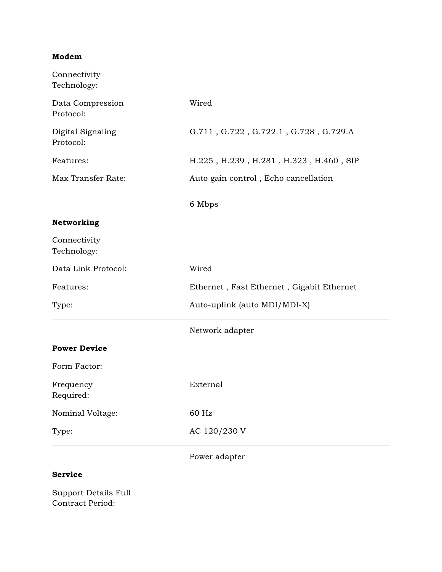# **Modem**

| Connectivity<br>Technology:    |                                           |
|--------------------------------|-------------------------------------------|
| Data Compression<br>Protocol:  | Wired                                     |
| Digital Signaling<br>Protocol: | G.711, G.722, G.722.1, G.728, G.729.A     |
| Features:                      | H.225, H.239, H.281, H.323, H.460, SIP    |
| Max Transfer Rate:             | Auto gain control, Echo cancellation      |
|                                | 6 Mbps                                    |
| Networking                     |                                           |
| Connectivity<br>Technology:    |                                           |
| Data Link Protocol:            | Wired                                     |
| Features:                      | Ethernet, Fast Ethernet, Gigabit Ethernet |
| Type:                          | Auto-uplink (auto MDI/MDI-X)              |
|                                | Network adapter                           |
| <b>Power Device</b>            |                                           |
| Form Factor:                   |                                           |
| Frequency<br>Required:         | External                                  |
| Nominal Voltage:               | 60 Hz                                     |
| Type:                          | AC 120/230 V                              |
|                                | Power adapter                             |

### **Service**

Support Details Full Contract Period: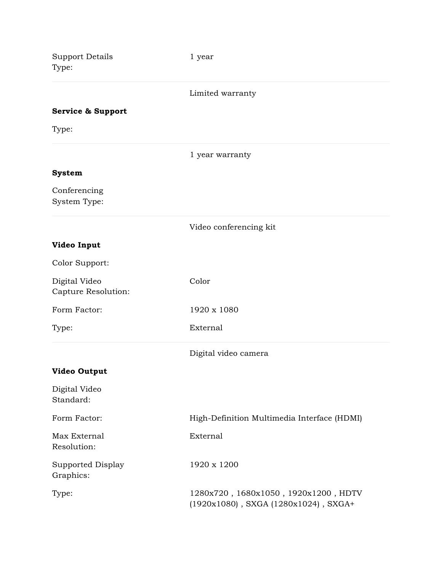| <b>Support Details</b><br>Type:      | 1 year                                                                             |
|--------------------------------------|------------------------------------------------------------------------------------|
|                                      | Limited warranty                                                                   |
| <b>Service &amp; Support</b>         |                                                                                    |
| Type:                                |                                                                                    |
|                                      | 1 year warranty                                                                    |
| <b>System</b>                        |                                                                                    |
| Conferencing<br>System Type:         |                                                                                    |
|                                      | Video conferencing kit                                                             |
| Video Input                          |                                                                                    |
| Color Support:                       |                                                                                    |
| Digital Video<br>Capture Resolution: | Color                                                                              |
| Form Factor:                         | 1920 x 1080                                                                        |
| Type:                                | External                                                                           |
|                                      | Digital video camera                                                               |
| <b>Video Output</b>                  |                                                                                    |
| Digital Video<br>Standard:           |                                                                                    |
| Form Factor:                         | High-Definition Multimedia Interface (HDMI)                                        |
| Max External<br>Resolution:          | External                                                                           |
| Supported Display<br>Graphics:       | 1920 x 1200                                                                        |
| Type:                                | 1280x720, 1680x1050, 1920x1200, HDTV<br>$(1920x1080)$ , SXGA $(1280x1024)$ , SXGA+ |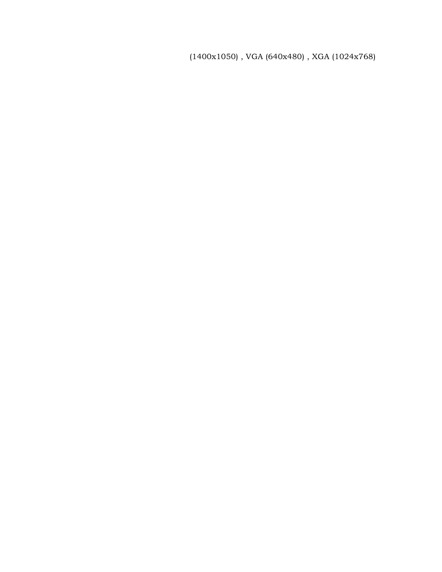(1400x1050) , VGA (640x480) , XGA (1024x768)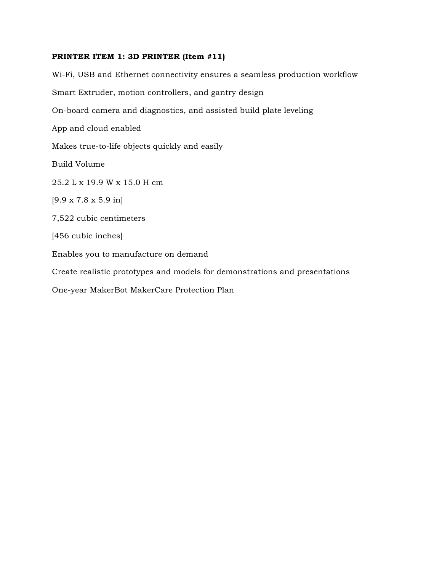### **PRINTER ITEM 1: 3D PRINTER (Item #11)**

Wi-Fi, USB and Ethernet connectivity ensures a seamless production workflow Smart Extruder, motion controllers, and gantry design On-board camera and diagnostics, and assisted build plate leveling App and cloud enabled Makes true-to-life objects quickly and easily Build Volume 25.2 L x 19.9 W x 15.0 H cm [9.9 x 7.8 x 5.9 in] 7,522 cubic centimeters [456 cubic inches] Enables you to manufacture on demand Create realistic prototypes and models for demonstrations and presentations One-year MakerBot MakerCare Protection Plan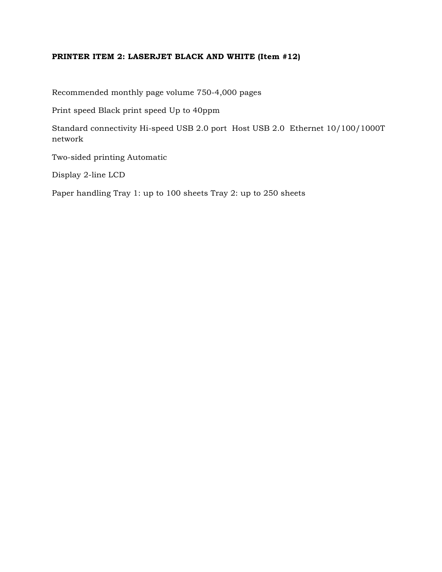# **PRINTER ITEM 2: LASERJET BLACK AND WHITE (Item #12)**

Recommended monthly page volume 750-4,000 pages

Print speed Black print speed Up to 40ppm

Standard connectivity Hi-speed USB 2.0 port Host USB 2.0 Ethernet 10/100/1000T network

Two-sided printing Automatic

Display 2-line LCD

Paper handling Tray 1: up to 100 sheets Tray 2: up to 250 sheets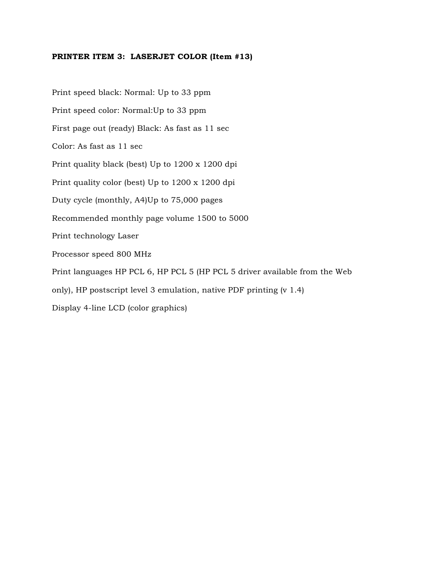#### **PRINTER ITEM 3: LASERJET COLOR (Item #13)**

Print speed black: Normal: Up to 33 ppm Print speed color: Normal:Up to 33 ppm First page out (ready) Black: As fast as 11 sec Color: As fast as 11 sec Print quality black (best) Up to 1200 x 1200 dpi Print quality color (best) Up to 1200 x 1200 dpi Duty cycle (monthly, A4)Up to 75,000 pages Recommended monthly page volume 1500 to 5000 Print technology Laser Processor speed 800 MHz Print languages HP PCL 6, HP PCL 5 (HP PCL 5 driver available from the Web only), HP postscript level 3 emulation, native PDF printing (v 1.4) Display 4-line LCD (color graphics)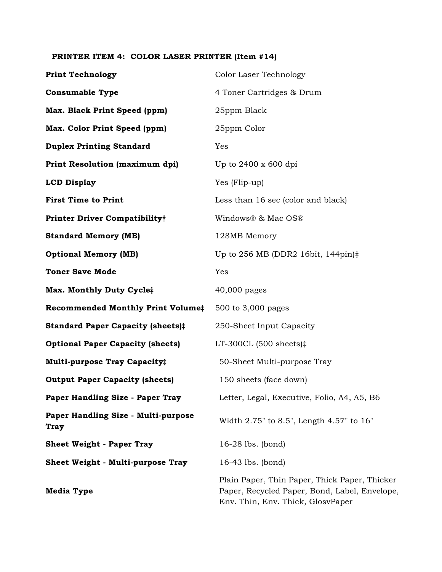# **PRINTER ITEM 4: COLOR LASER PRINTER (Item #14)**

| <b>Print Technology</b>                            | Color Laser Technology                                                                                                              |
|----------------------------------------------------|-------------------------------------------------------------------------------------------------------------------------------------|
| <b>Consumable Type</b>                             | 4 Toner Cartridges & Drum                                                                                                           |
| Max. Black Print Speed (ppm)                       | 25ppm Black                                                                                                                         |
| Max. Color Print Speed (ppm)                       | 25ppm Color                                                                                                                         |
| <b>Duplex Printing Standard</b>                    | Yes                                                                                                                                 |
| Print Resolution (maximum dpi)                     | Up to 2400 x 600 dpi                                                                                                                |
| <b>LCD Display</b>                                 | Yes (Flip-up)                                                                                                                       |
| <b>First Time to Print</b>                         | Less than 16 sec (color and black)                                                                                                  |
| <b>Printer Driver Compatibility†</b>               | Windows® & Mac OS®                                                                                                                  |
| <b>Standard Memory (MB)</b>                        | 128MB Memory                                                                                                                        |
| <b>Optional Memory (MB)</b>                        | Up to 256 MB (DDR2 16bit, 144pin) $\ddagger$                                                                                        |
| <b>Toner Save Mode</b>                             | Yes                                                                                                                                 |
| Max. Monthly Duty Cycle‡                           | 40,000 pages                                                                                                                        |
| <b>Recommended Monthly Print Volume‡</b>           | 500 to 3,000 pages                                                                                                                  |
| <b>Standard Paper Capacity (sheets)#</b>           | 250-Sheet Input Capacity                                                                                                            |
| <b>Optional Paper Capacity (sheets)</b>            | LT-300CL $(500 \text{ sheets})$ :                                                                                                   |
| Multi-purpose Tray Capacity#                       | 50-Sheet Multi-purpose Tray                                                                                                         |
| <b>Output Paper Capacity (sheets)</b>              | 150 sheets (face down)                                                                                                              |
| Paper Handling Size - Paper Tray                   | Letter, Legal, Executive, Folio, A4, A5, B6                                                                                         |
| Paper Handling Size - Multi-purpose<br><b>Tray</b> | Width 2.75" to 8.5", Length 4.57" to 16"                                                                                            |
| <b>Sheet Weight - Paper Tray</b>                   | $16-28$ lbs. (bond)                                                                                                                 |
| <b>Sheet Weight - Multi-purpose Tray</b>           | $16-43$ lbs. (bond)                                                                                                                 |
| <b>Media Type</b>                                  | Plain Paper, Thin Paper, Thick Paper, Thicker<br>Paper, Recycled Paper, Bond, Label, Envelope,<br>Env. Thin, Env. Thick, GlosvPaper |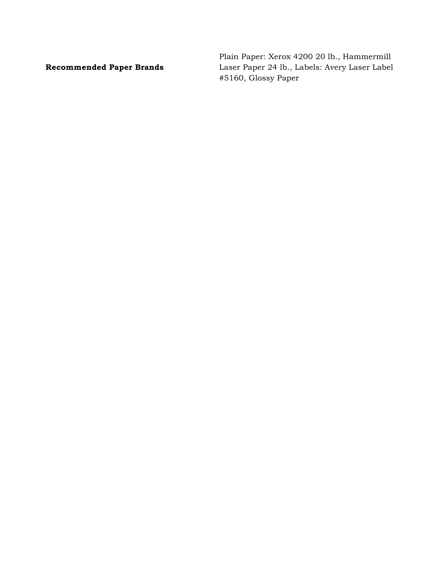**Recommended Paper Brands**

Plain Paper: Xerox 4200 20 lb., Hammermill Laser Paper 24 lb., Labels: Avery Laser Label #5160, Glossy Paper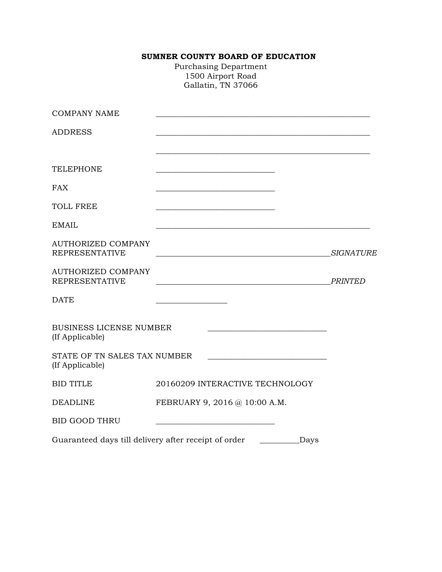# **SUMNER COUNTY BOARD OF EDUCATION**

Purchasing Department 1500 Airport Road Gallatin, TN 37066

| <b>COMPANY NAME</b>                                  |                                                                                                                        |                  |
|------------------------------------------------------|------------------------------------------------------------------------------------------------------------------------|------------------|
| <b>ADDRESS</b>                                       |                                                                                                                        |                  |
|                                                      |                                                                                                                        |                  |
| <b>TELEPHONE</b>                                     |                                                                                                                        |                  |
| <b>FAX</b>                                           |                                                                                                                        |                  |
| <b>TOLL FREE</b>                                     |                                                                                                                        |                  |
| <b>EMAIL</b>                                         |                                                                                                                        |                  |
| <b>AUTHORIZED COMPANY</b><br><b>REPRESENTATIVE</b>   | <u> 1989 - Johann Barn, mars ann an t-Amhain ann an t-Amhain an t-Amhain an t-Amhain an t-Amhain an t-Amhain an t-</u> | <b>SIGNATURE</b> |
| <b>AUTHORIZED COMPANY</b><br><b>REPRESENTATIVE</b>   |                                                                                                                        | <b>PRINTED</b>   |
| <b>DATE</b>                                          | <u> 1990 - Johann Barbara, martin a</u>                                                                                |                  |
| <b>BUSINESS LICENSE NUMBER</b><br>(If Applicable)    | <u> 1989 - Johann Barbara, martxa alemaniar amerikan basar da a</u>                                                    |                  |
| STATE OF TN SALES TAX NUMBER<br>(If Applicable)      |                                                                                                                        |                  |
| <b>BID TITLE</b>                                     | 20160209 INTERACTIVE TECHNOLOGY                                                                                        |                  |
| <b>DEADLINE</b>                                      | FEBRUARY 9, 2016 @ 10:00 A.M.                                                                                          |                  |
| <b>BID GOOD THRU</b>                                 |                                                                                                                        |                  |
| Guaranteed days till delivery after receipt of order | Days                                                                                                                   |                  |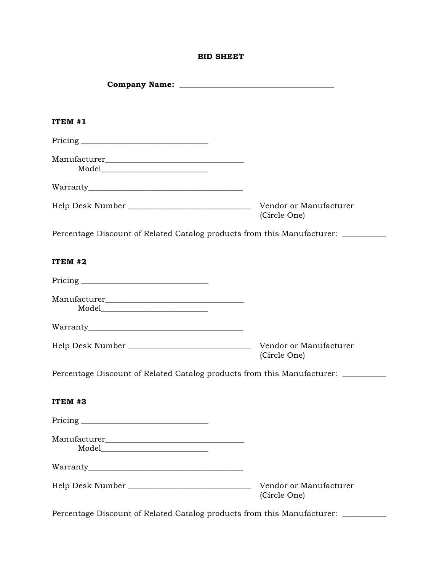### **BID SHEET**

| ITEM #1                                                                          |                                        |
|----------------------------------------------------------------------------------|----------------------------------------|
|                                                                                  |                                        |
|                                                                                  |                                        |
|                                                                                  |                                        |
|                                                                                  | (Circle One)                           |
| Percentage Discount of Related Catalog products from this Manufacturer: ________ |                                        |
| ITEM #2                                                                          |                                        |
|                                                                                  |                                        |
|                                                                                  |                                        |
|                                                                                  |                                        |
| Help Desk Number _________________________________                               | Vendor or Manufacturer<br>(Circle One) |
| Percentage Discount of Related Catalog products from this Manufacturer: ________ |                                        |
| ITEM #3                                                                          |                                        |
|                                                                                  |                                        |
|                                                                                  |                                        |
|                                                                                  |                                        |
|                                                                                  | Vendor or Manufacturer<br>(Circle One) |
| Percentage Discount of Related Catalog products from this Manufacturer:          |                                        |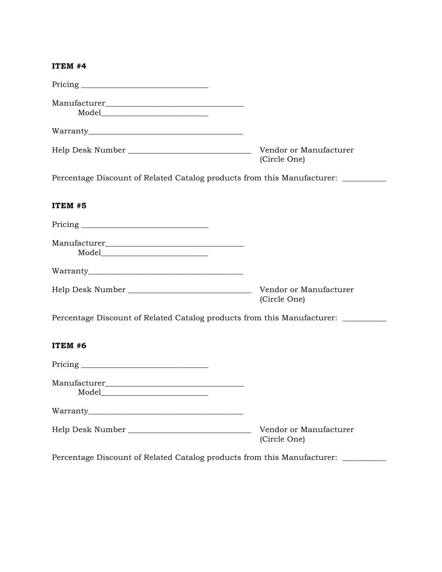#### **ITEM #4**

|                                                                                                                                                                                                                                                                                                                                                                                                                                                                                                                               | Vendor or Manufacturer<br>(Circle One) |
|-------------------------------------------------------------------------------------------------------------------------------------------------------------------------------------------------------------------------------------------------------------------------------------------------------------------------------------------------------------------------------------------------------------------------------------------------------------------------------------------------------------------------------|----------------------------------------|
| Percentage Discount of Related Catalog products from this Manufacturer: ________                                                                                                                                                                                                                                                                                                                                                                                                                                              |                                        |
| ITEM #5                                                                                                                                                                                                                                                                                                                                                                                                                                                                                                                       |                                        |
|                                                                                                                                                                                                                                                                                                                                                                                                                                                                                                                               |                                        |
|                                                                                                                                                                                                                                                                                                                                                                                                                                                                                                                               |                                        |
|                                                                                                                                                                                                                                                                                                                                                                                                                                                                                                                               |                                        |
|                                                                                                                                                                                                                                                                                                                                                                                                                                                                                                                               | Vendor or Manufacturer<br>(Circle One) |
| Percentage Discount of Related Catalog products from this Manufacturer: ________                                                                                                                                                                                                                                                                                                                                                                                                                                              |                                        |
| ITEM #6                                                                                                                                                                                                                                                                                                                                                                                                                                                                                                                       |                                        |
|                                                                                                                                                                                                                                                                                                                                                                                                                                                                                                                               |                                        |
| $\begin{minipage}[c]{0.9\linewidth} \textbf{Model} \end{minipage} \vspace{-0.5em} \begin{minipage}[c]{0.9\linewidth} \centering \begin{minipage}[c]{0.9\linewidth} \centering \textbf{Model} \end{minipage} \vspace{-0.5em} \begin{minipage}[c]{0.9\linewidth} \centering \textbf{Model} \end{minipage} \vspace{-0.5em} \begin{minipage}[c]{0.9\linewidth} \centering \textbf{Model} \end{minipage} \vspace{-0.5em} \begin{minipage}[c]{0.9\linewidth} \centering \textbf{Model} \end{minipage} \vspace{-0.5em} \begin{minip$ |                                        |
|                                                                                                                                                                                                                                                                                                                                                                                                                                                                                                                               |                                        |
|                                                                                                                                                                                                                                                                                                                                                                                                                                                                                                                               | Vendor or Manufacturer<br>(Circle One) |
| Percentage Discount of Related Catalog products from this Manufacturer: _________                                                                                                                                                                                                                                                                                                                                                                                                                                             |                                        |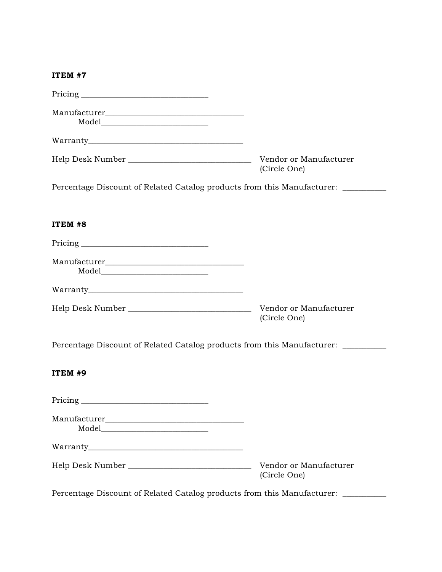### **ITEM #7**

|                                                                                  | Vendor or Manufacturer<br>(Circle One) |
|----------------------------------------------------------------------------------|----------------------------------------|
| Percentage Discount of Related Catalog products from this Manufacturer: ________ |                                        |
| ITEM #8                                                                          |                                        |
|                                                                                  |                                        |
| $\text{Model}\_\_$                                                               |                                        |
|                                                                                  |                                        |
|                                                                                  | Vendor or Manufacturer<br>(Circle One) |
| Percentage Discount of Related Catalog products from this Manufacturer: ________ |                                        |
| ITEM #9                                                                          |                                        |
|                                                                                  |                                        |
|                                                                                  |                                        |
|                                                                                  |                                        |
|                                                                                  | Vendor or Manufacturer<br>(Circle One) |
| Percentage Discount of Related Catalog products from this Manufacturer: ______   |                                        |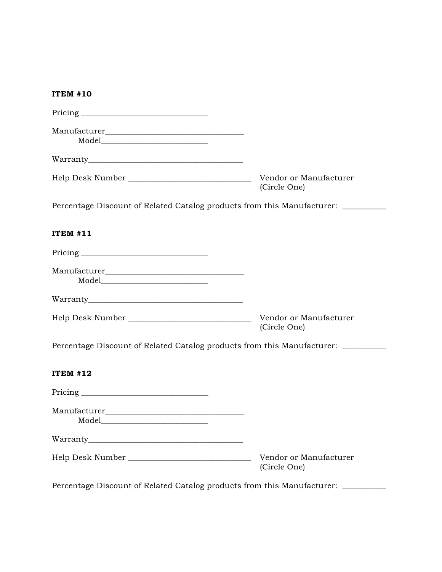| <b>ITEM #10</b>                                                                   |                                        |
|-----------------------------------------------------------------------------------|----------------------------------------|
|                                                                                   |                                        |
|                                                                                   |                                        |
|                                                                                   |                                        |
| Help Desk Number _______________________________                                  | Vendor or Manufacturer<br>(Circle One) |
| Percentage Discount of Related Catalog products from this Manufacturer: ________  |                                        |
| <b>ITEM #11</b>                                                                   |                                        |
|                                                                                   |                                        |
|                                                                                   |                                        |
|                                                                                   |                                        |
| Help Desk Number _________________________________                                | Vendor or Manufacturer<br>(Circle One) |
| Percentage Discount of Related Catalog products from this Manufacturer: _________ |                                        |
| <b>ITEM #12</b>                                                                   |                                        |
|                                                                                   |                                        |
| Manufacturer                                                                      |                                        |
|                                                                                   |                                        |
| Help Desk Number _________________________________                                | Vendor or Manufacturer<br>(Circle One) |
| Percentage Discount of Related Catalog products from this Manufacturer: ________  |                                        |